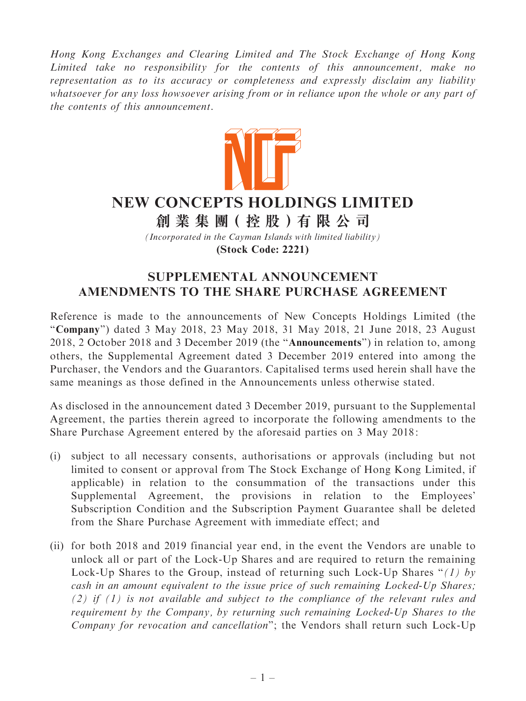Hong Kong Exchanges and Clearing Limited and The Stock Exchange of Hong Kong Limited take no responsibility for the contents of this announcement, make no representation as to its accuracy or completeness and expressly disclaim any liability whatsoever for any loss howsoever arising from or in reliance upon the whole or any part of the contents of this announcement.



## **NEW CONCEPTS HOLDINGS LIMITED**

**創 業 集 團( 控 股 )有 限 公 司**

*(Incorporated in the Cayman Islands with limited liability)* **(Stock Code: 2221)**

## SUPPLEMENTAL ANNOUNCEMENT AMENDMENTS TO THE SHARE PURCHASE AGREEMENT

Reference is made to the announcements of New Concepts Holdings Limited (the "Company") dated 3 May 2018, 23 May 2018, 31 May 2018, 21 June 2018, 23 August 2018, 2 October 2018 and 3 December 2019 (the ''Announcements'') in relation to, among others, the Supplemental Agreement dated 3 December 2019 entered into among the Purchaser, the Vendors and the Guarantors. Capitalised terms used herein shall have the same meanings as those defined in the Announcements unless otherwise stated.

As disclosed in the announcement dated 3 December 2019, pursuant to the Supplemental Agreement, the parties therein agreed to incorporate the following amendments to the Share Purchase Agreement entered by the aforesaid parties on 3 May 2018:

- (i) subject to all necessary consents, authorisations or approvals (including but not limited to consent or approval from The Stock Exchange of Hong Kong Limited, if applicable) in relation to the consummation of the transactions under this Supplemental Agreement, the provisions in relation to the Employees' Subscription Condition and the Subscription Payment Guarantee shall be deleted from the Share Purchase Agreement with immediate effect; and
- (ii) for both 2018 and 2019 financial year end, in the event the Vendors are unable to unlock all or part of the Lock-Up Shares and are required to return the remaining Lock-Up Shares to the Group, instead of returning such Lock-Up Shares "(1) by cash in an amount equivalent to the issue price of such remaining Locked-Up Shares; (2) if  $(1)$  is not available and subject to the compliance of the relevant rules and requirement by the Company, by returning such remaining Locked-Up Shares to the Company for revocation and cancellation''; the Vendors shall return such Lock-Up